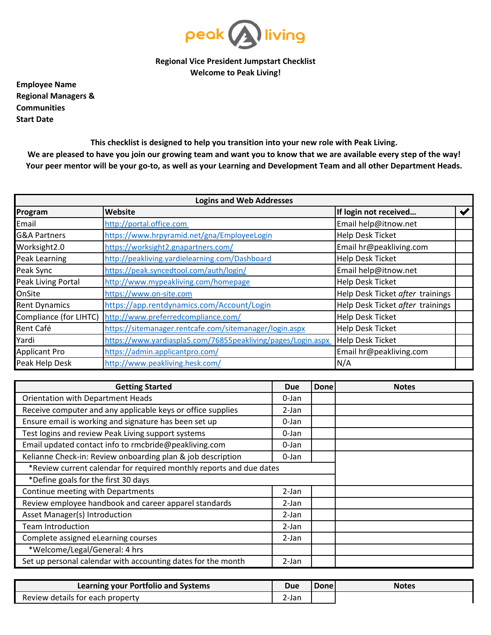

**Regional Vice President Jumpstart Checklist Welcome to Peak Living!**

**Employee Name Start Date Regional Managers & Communities**

> **This checklist is designed to help you transition into your new role with Peak Living. We are pleased to have you join our growing team and want you to know that we are available every step of the way! Your peer mentor will be your go-to, as well as your Learning and Development Team and all other Department Heads.**

| <b>Logins and Web Addresses</b> |                                                              |                                  |  |
|---------------------------------|--------------------------------------------------------------|----------------------------------|--|
| Program                         | Website                                                      | If login not received            |  |
| Email                           | http://portal.office.com                                     | Email help@itnow.net             |  |
| <b>G&amp;A Partners</b>         | https://www.hrpyramid.net/gna/EmployeeLogin                  | Help Desk Ticket                 |  |
| Worksight2.0                    | https://worksight2.gnapartners.com/                          | Email hr@peakliving.com          |  |
| <b>Peak Learning</b>            | http://peakliving.yardielearning.com/Dashboard               | Help Desk Ticket                 |  |
| Peak Sync                       | https://peak.syncedtool.com/auth/login/                      | Email help@itnow.net             |  |
| Peak Living Portal              | http://www.mypeakliving.com/homepage                         | Help Desk Ticket                 |  |
| OnSite                          | https://www.on-site.com                                      | Help Desk Ticket after trainings |  |
| <b>Rent Dynamics</b>            | https://app.rentdynamics.com/Account/Login                   | Help Desk Ticket after trainings |  |
| Compliance (for LIHTC)          | http://www.preferredcompliance.com/                          | <b>Help Desk Ticket</b>          |  |
| Rent Café                       | https://sitemanager.rentcafe.com/sitemanager/login.aspx      | Help Desk Ticket                 |  |
| Yardi                           | https://www.yardiaspla5.com/76855peakliving/pages/Login.aspx | Help Desk Ticket                 |  |
| <b>Applicant Pro</b>            | https://admin.applicantpro.com/                              | Email hr@peakliving.com          |  |
| Peak Help Desk                  | http://www.peakliving.hesk.com/                              | N/A                              |  |

| <b>Getting Started</b>                                              |       | Done | <b>Notes</b> |
|---------------------------------------------------------------------|-------|------|--------------|
| Orientation with Department Heads                                   |       |      |              |
| Receive computer and any applicable keys or office supplies         |       |      |              |
| Ensure email is working and signature has been set up               |       |      |              |
| Test logins and review Peak Living support systems                  |       |      |              |
| Email updated contact info to rmcbride@peakliving.com               | 0-Jan |      |              |
| Kelianne Check-in: Review onboarding plan & job description         |       |      |              |
| *Review current calendar for required monthly reports and due dates |       |      |              |
| *Define goals for the first 30 days                                 |       |      |              |
| Continue meeting with Departments                                   | 2-Jan |      |              |
| Review employee handbook and career apparel standards               | 2-Jan |      |              |
| Asset Manager(s) Introduction                                       | 2-Jan |      |              |
| <b>Team Introduction</b>                                            |       |      |              |
| Complete assigned eLearning courses                                 |       |      |              |
| *Welcome/Legal/General: 4 hrs                                       |       |      |              |
| Set up personal calendar with accounting dates for the month        |       |      |              |

| Learning your Portfolio and Systems |  | Donel | <b>Notes</b> |
|-------------------------------------|--|-------|--------------|
| Review details for each property    |  |       |              |